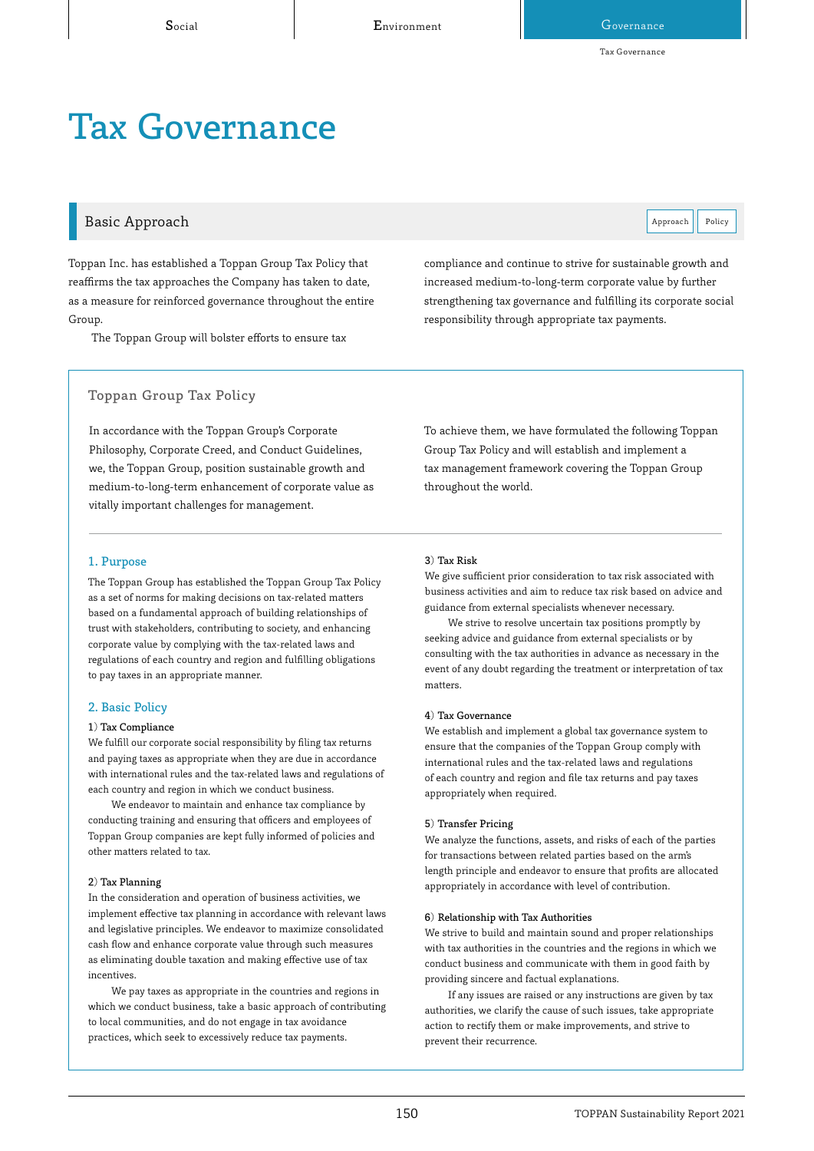Tax Governance

# Tax Governance

### Basic Approach **Policy Approach** Policy **Approach** Policy **Approach** Policy

Toppan Inc. has established a Toppan Group Tax Policy that reaffirms the tax approaches the Company has taken to date, as a measure for reinforced governance throughout the entire Group.

The Toppan Group will bolster efforts to ensure tax

# compliance and continue to strive for sustainable growth and increased medium-to-long-term corporate value by further strengthening tax governance and fulfilling its corporate social responsibility through appropriate tax payments.

#### Toppan Group Tax Policy

In accordance with the Toppan Group's Corporate Philosophy, Corporate Creed, and Conduct Guidelines, we, the Toppan Group, position sustainable growth and medium-to-long-term enhancement of corporate value as vitally important challenges for management.

To achieve them, we have formulated the following Toppan Group Tax Policy and will establish and implement a tax management framework covering the Toppan Group throughout the world.

#### 1. Purpose

The Toppan Group has established the Toppan Group Tax Policy as a set of norms for making decisions on tax-related matters based on a fundamental approach of building relationships of trust with stakeholders, contributing to society, and enhancing corporate value by complying with the tax-related laws and regulations of each country and region and fulfilling obligations to pay taxes in an appropriate manner.

#### 2. Basic Policy

#### 1) Tax Compliance

We fulfill our corporate social responsibility by filing tax returns and paying taxes as appropriate when they are due in accordance with international rules and the tax-related laws and regulations of each country and region in which we conduct business.

We endeavor to maintain and enhance tax compliance by conducting training and ensuring that officers and employees of Toppan Group companies are kept fully informed of policies and other matters related to tax.

#### 2) Tax Planning

In the consideration and operation of business activities, we implement effective tax planning in accordance with relevant laws and legislative principles. We endeavor to maximize consolidated cash flow and enhance corporate value through such measures as eliminating double taxation and making effective use of tax incentives.

We pay taxes as appropriate in the countries and regions in which we conduct business, take a basic approach of contributing to local communities, and do not engage in tax avoidance practices, which seek to excessively reduce tax payments.

#### 3) Tax Risk

We give sufficient prior consideration to tax risk associated with business activities and aim to reduce tax risk based on advice and guidance from external specialists whenever necessary.

We strive to resolve uncertain tax positions promptly by seeking advice and guidance from external specialists or by consulting with the tax authorities in advance as necessary in the event of any doubt regarding the treatment or interpretation of tax matters.

#### 4) Tax Governance

We establish and implement a global tax governance system to ensure that the companies of the Toppan Group comply with international rules and the tax-related laws and regulations of each country and region and file tax returns and pay taxes appropriately when required.

#### 5) Transfer Pricing

We analyze the functions, assets, and risks of each of the parties for transactions between related parties based on the arm's length principle and endeavor to ensure that profits are allocated appropriately in accordance with level of contribution.

#### 6) Relationship with Tax Authorities

We strive to build and maintain sound and proper relationships with tax authorities in the countries and the regions in which we conduct business and communicate with them in good faith by providing sincere and factual explanations.

If any issues are raised or any instructions are given by tax authorities, we clarify the cause of such issues, take appropriate action to rectify them or make improvements, and strive to prevent their recurrence.